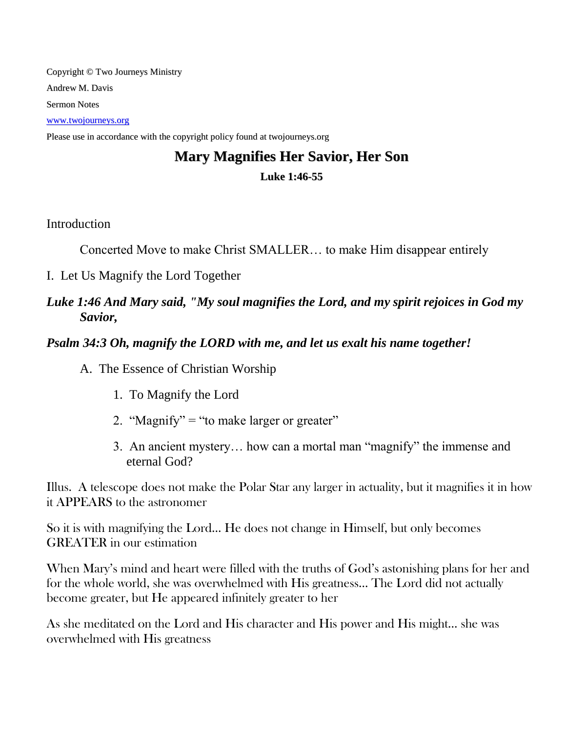Copyright © Two Journeys Ministry Andrew M. Davis Sermon Notes [www.twojourneys.org](http://www.twojourneys.org/) Please use in accordance with the copyright policy found at twojourneys.org

# **Mary Magnifies Her Savior, Her Son Luke 1:46-55**

Introduction

Concerted Move to make Christ SMALLER… to make Him disappear entirely

I. Let Us Magnify the Lord Together

## *Luke 1:46 And Mary said, "My soul magnifies the Lord, and my spirit rejoices in God my Savior,*

*Psalm 34:3 Oh, magnify the LORD with me, and let us exalt his name together!*

A. The Essence of Christian Worship

- 1. To Magnify the Lord
- 2. "Magnify" = "to make larger or greater"
- 3. An ancient mystery… how can a mortal man "magnify" the immense and eternal God?

Illus. A telescope does not make the Polar Star any larger in actuality, but it magnifies it in how it APPEARS to the astronomer

So it is with magnifying the Lord… He does not change in Himself, but only becomes GREATER in our estimation

When Mary's mind and heart were filled with the truths of God's astonishing plans for her and for the whole world, she was overwhelmed with His greatness… The Lord did not actually become greater, but He appeared infinitely greater to her

As she meditated on the Lord and His character and His power and His might… she was overwhelmed with His greatness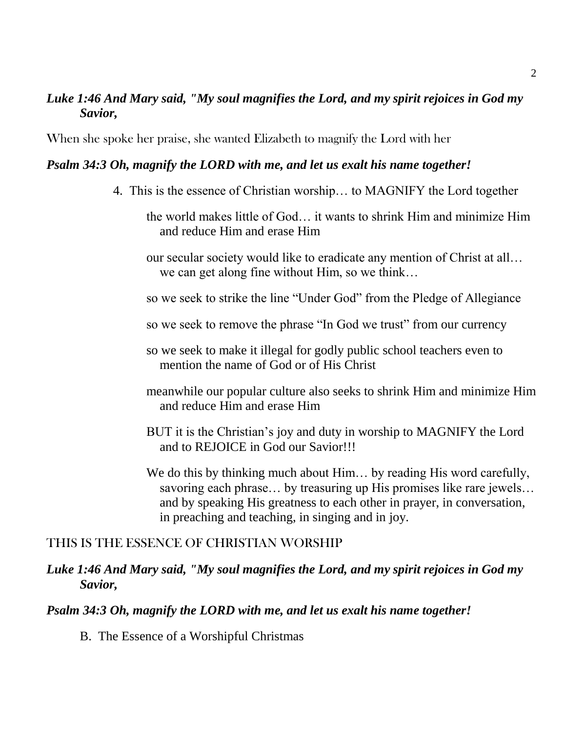## *Luke 1:46 And Mary said, "My soul magnifies the Lord, and my spirit rejoices in God my Savior,*

When she spoke her praise, she wanted Elizabeth to magnify the Lord with her

### *Psalm 34:3 Oh, magnify the LORD with me, and let us exalt his name together!*

- 4. This is the essence of Christian worship… to MAGNIFY the Lord together
	- the world makes little of God… it wants to shrink Him and minimize Him and reduce Him and erase Him
	- our secular society would like to eradicate any mention of Christ at all… we can get along fine without Him, so we think…
	- so we seek to strike the line "Under God" from the Pledge of Allegiance
	- so we seek to remove the phrase "In God we trust" from our currency
	- so we seek to make it illegal for godly public school teachers even to mention the name of God or of His Christ
	- meanwhile our popular culture also seeks to shrink Him and minimize Him and reduce Him and erase Him
	- BUT it is the Christian's joy and duty in worship to MAGNIFY the Lord and to REJOICE in God our Savior!!!
	- We do this by thinking much about Him... by reading His word carefully, savoring each phrase... by treasuring up His promises like rare jewels... and by speaking His greatness to each other in prayer, in conversation, in preaching and teaching, in singing and in joy.

### THIS IS THE ESSENCE OF CHRISTIAN WORSHIP

### *Luke 1:46 And Mary said, "My soul magnifies the Lord, and my spirit rejoices in God my Savior,*

### *Psalm 34:3 Oh, magnify the LORD with me, and let us exalt his name together!*

B. The Essence of a Worshipful Christmas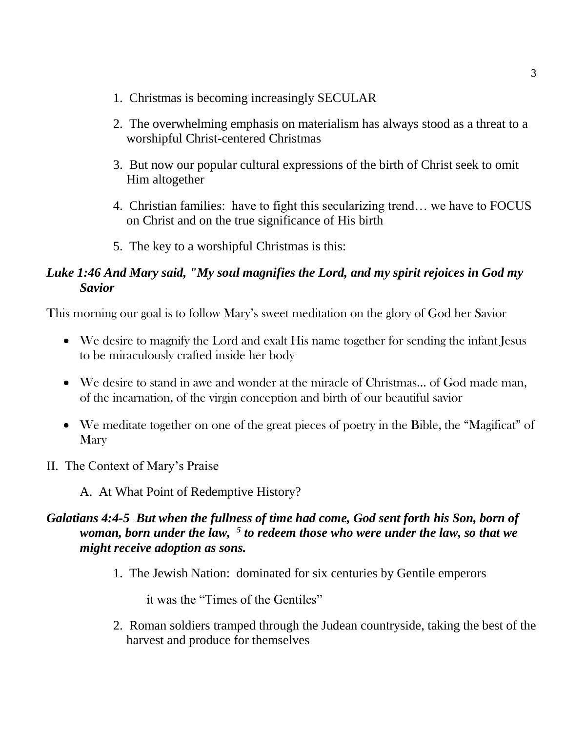- 1. Christmas is becoming increasingly SECULAR
- 2. The overwhelming emphasis on materialism has always stood as a threat to a worshipful Christ-centered Christmas
- 3. But now our popular cultural expressions of the birth of Christ seek to omit Him altogether
- 4. Christian families: have to fight this secularizing trend… we have to FOCUS on Christ and on the true significance of His birth
- 5. The key to a worshipful Christmas is this:

## *Luke 1:46 And Mary said, "My soul magnifies the Lord, and my spirit rejoices in God my Savior*

This morning our goal is to follow Mary's sweet meditation on the glory of God her Savior

- We desire to magnify the Lord and exalt His name together for sending the infant Jesus to be miraculously crafted inside her body
- We desire to stand in awe and wonder at the miracle of Christmas… of God made man, of the incarnation, of the virgin conception and birth of our beautiful savior
- We meditate together on one of the great pieces of poetry in the Bible, the "Magificat" of **Mary**
- II. The Context of Mary's Praise

A. At What Point of Redemptive History?

## *Galatians 4:4-5 But when the fullness of time had come, God sent forth his Son, born of woman, born under the law, <sup>5</sup> to redeem those who were under the law, so that we might receive adoption as sons.*

1. The Jewish Nation: dominated for six centuries by Gentile emperors

it was the "Times of the Gentiles"

2. Roman soldiers tramped through the Judean countryside, taking the best of the harvest and produce for themselves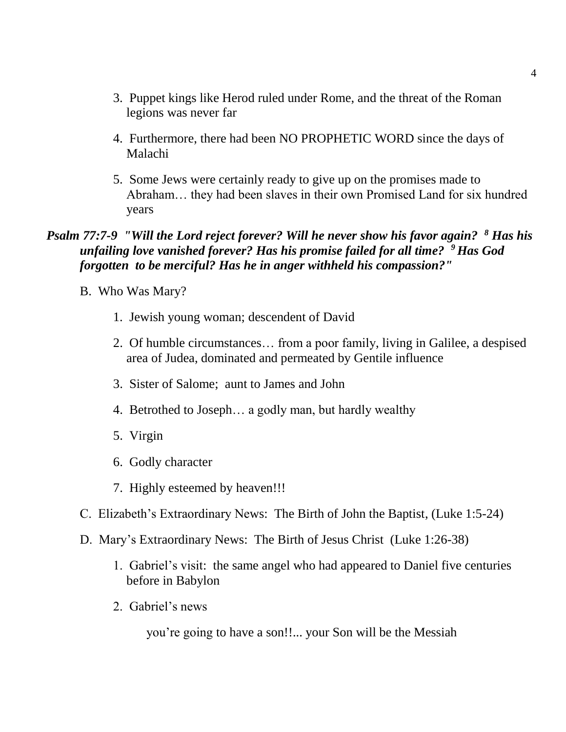- 3. Puppet kings like Herod ruled under Rome, and the threat of the Roman legions was never far
- 4. Furthermore, there had been NO PROPHETIC WORD since the days of Malachi
- 5. Some Jews were certainly ready to give up on the promises made to Abraham… they had been slaves in their own Promised Land for six hundred years

### *Psalm 77:7-9 "Will the Lord reject forever? Will he never show his favor again? <sup>8</sup> Has his unfailing love vanished forever? Has his promise failed for all time? <sup>9</sup>Has God forgotten to be merciful? Has he in anger withheld his compassion?"*

- B. Who Was Mary?
	- 1. Jewish young woman; descendent of David
	- 2. Of humble circumstances… from a poor family, living in Galilee, a despised area of Judea, dominated and permeated by Gentile influence
	- 3. Sister of Salome; aunt to James and John
	- 4. Betrothed to Joseph… a godly man, but hardly wealthy
	- 5. Virgin
	- 6. Godly character
	- 7. Highly esteemed by heaven!!!
- C. Elizabeth's Extraordinary News: The Birth of John the Baptist, (Luke 1:5-24)
- D. Mary's Extraordinary News: The Birth of Jesus Christ (Luke 1:26-38)
	- 1. Gabriel's visit: the same angel who had appeared to Daniel five centuries before in Babylon
	- 2. Gabriel's news

you're going to have a son!!... your Son will be the Messiah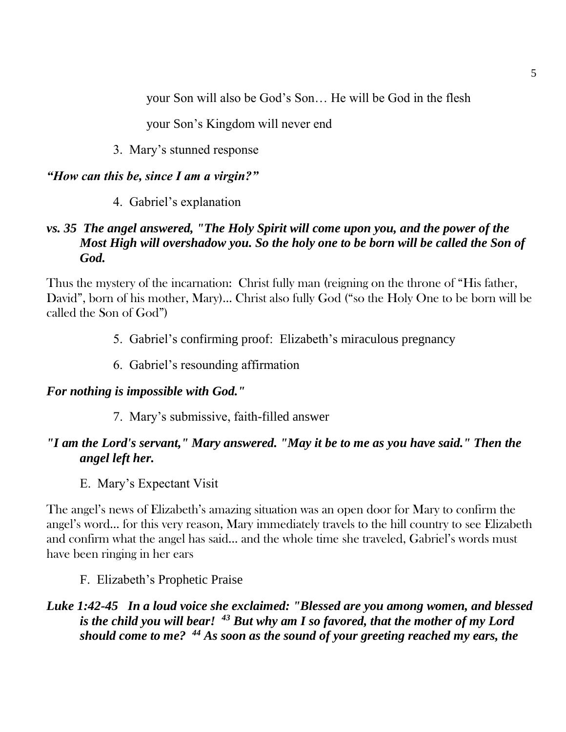your Son will also be God's Son… He will be God in the flesh

your Son's Kingdom will never end

3. Mary's stunned response

## *"How can this be, since I am a virgin?"*

4. Gabriel's explanation

## *vs. 35 The angel answered, "The Holy Spirit will come upon you, and the power of the Most High will overshadow you. So the holy one to be born will be called the Son of God.*

Thus the mystery of the incarnation: Christ fully man (reigning on the throne of "His father, David", born of his mother, Mary)… Christ also fully God ("so the Holy One to be born will be called the Son of God")

- 5. Gabriel's confirming proof: Elizabeth's miraculous pregnancy
- 6. Gabriel's resounding affirmation

## *For nothing is impossible with God."*

7. Mary's submissive, faith-filled answer

# *"I am the Lord's servant," Mary answered. "May it be to me as you have said." Then the angel left her.*

E. Mary's Expectant Visit

The angel's news of Elizabeth's amazing situation was an open door for Mary to confirm the angel's word… for this very reason, Mary immediately travels to the hill country to see Elizabeth and confirm what the angel has said… and the whole time she traveled, Gabriel's words must have been ringing in her ears

# F. Elizabeth's Prophetic Praise

## *Luke 1:42-45 In a loud voice she exclaimed: "Blessed are you among women, and blessed is the child you will bear! <sup>43</sup> But why am I so favored, that the mother of my Lord should come to me? <sup>44</sup> As soon as the sound of your greeting reached my ears, the*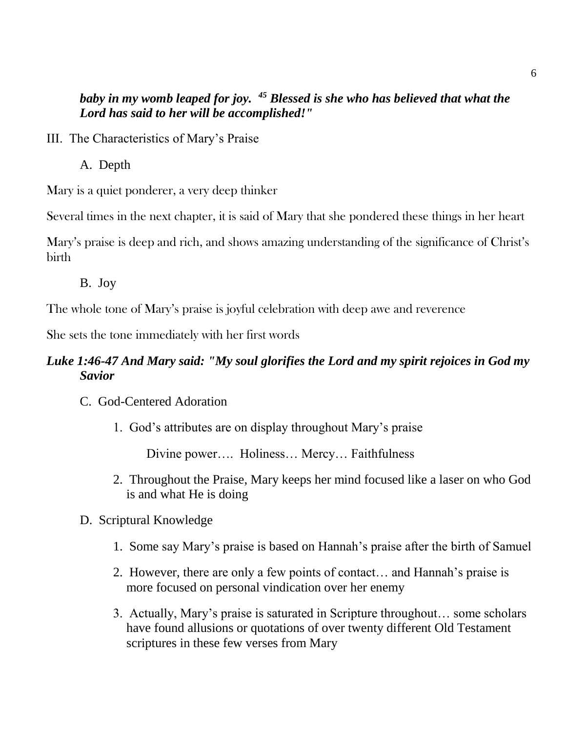## *baby in my womb leaped for joy. <sup>45</sup> Blessed is she who has believed that what the Lord has said to her will be accomplished!"*

- III. The Characteristics of Mary's Praise
	- A. Depth

Mary is a quiet ponderer, a very deep thinker

Several times in the next chapter, it is said of Mary that she pondered these things in her heart

Mary's praise is deep and rich, and shows amazing understanding of the significance of Christ's birth

B. Joy

The whole tone of Mary's praise is joyful celebration with deep awe and reverence

She sets the tone immediately with her first words

## *Luke 1:46-47 And Mary said: "My soul glorifies the Lord and my spirit rejoices in God my Savior*

- C. God-Centered Adoration
	- 1. God's attributes are on display throughout Mary's praise

Divine power…. Holiness… Mercy… Faithfulness

- 2. Throughout the Praise, Mary keeps her mind focused like a laser on who God is and what He is doing
- D. Scriptural Knowledge
	- 1. Some say Mary's praise is based on Hannah's praise after the birth of Samuel
	- 2. However, there are only a few points of contact… and Hannah's praise is more focused on personal vindication over her enemy
	- 3. Actually, Mary's praise is saturated in Scripture throughout… some scholars have found allusions or quotations of over twenty different Old Testament scriptures in these few verses from Mary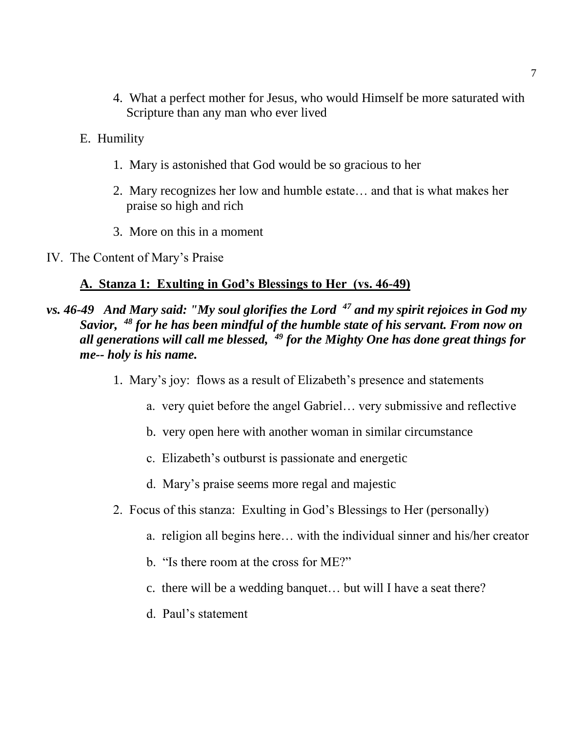- 4. What a perfect mother for Jesus, who would Himself be more saturated with Scripture than any man who ever lived
- E. Humility
	- 1. Mary is astonished that God would be so gracious to her
	- 2. Mary recognizes her low and humble estate… and that is what makes her praise so high and rich
	- 3. More on this in a moment
- IV. The Content of Mary's Praise

#### **A. Stanza 1: Exulting in God's Blessings to Her (vs. 46-49)**

- *vs. 46-49 And Mary said: "My soul glorifies the Lord <sup>47</sup> and my spirit rejoices in God my Savior, <sup>48</sup> for he has been mindful of the humble state of his servant. From now on all generations will call me blessed, <sup>49</sup> for the Mighty One has done great things for me-- holy is his name.*
	- 1. Mary's joy: flows as a result of Elizabeth's presence and statements
		- a. very quiet before the angel Gabriel… very submissive and reflective
		- b. very open here with another woman in similar circumstance
		- c. Elizabeth's outburst is passionate and energetic
		- d. Mary's praise seems more regal and majestic
	- 2. Focus of this stanza: Exulting in God's Blessings to Her (personally)
		- a. religion all begins here… with the individual sinner and his/her creator
		- b. "Is there room at the cross for ME?"
		- c. there will be a wedding banquet… but will I have a seat there?
		- d. Paul's statement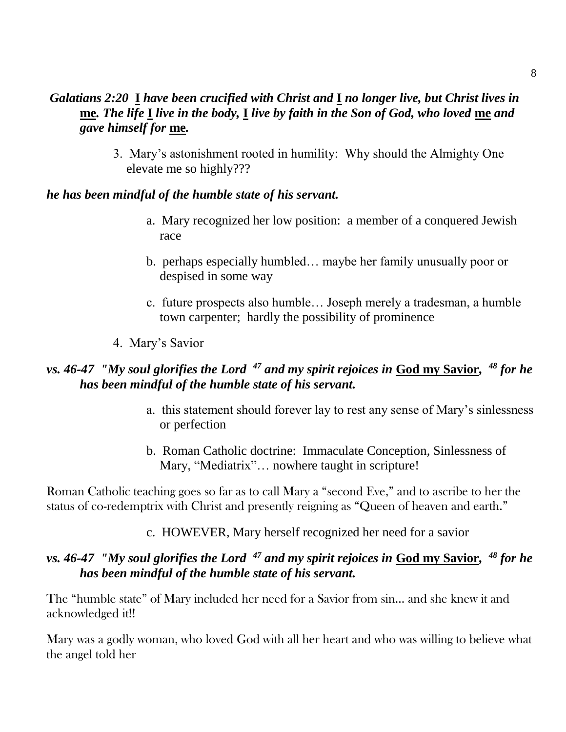## *Galatians 2:20* **I** *have been crucified with Christ and* **I** *no longer live, but Christ lives in*  **me***. The life* **I** *live in the body,* **I** *live by faith in the Son of God, who loved* **me** *and gave himself for* **me***.*

3. Mary's astonishment rooted in humility: Why should the Almighty One elevate me so highly???

### *he has been mindful of the humble state of his servant.*

- a. Mary recognized her low position: a member of a conquered Jewish race
- b. perhaps especially humbled… maybe her family unusually poor or despised in some way
- c. future prospects also humble… Joseph merely a tradesman, a humble town carpenter; hardly the possibility of prominence
- 4. Mary's Savior

## *vs. 46-47 "My soul glorifies the Lord <sup>47</sup> and my spirit rejoices in* **God my Savior***, <sup>48</sup> for he has been mindful of the humble state of his servant.*

- a. this statement should forever lay to rest any sense of Mary's sinlessness or perfection
- b. Roman Catholic doctrine: Immaculate Conception, Sinlessness of Mary, "Mediatrix"… nowhere taught in scripture!

Roman Catholic teaching goes so far as to call Mary a "second Eve," and to ascribe to her the status of co-redemptrix with Christ and presently reigning as "Queen of heaven and earth."

## c. HOWEVER, Mary herself recognized her need for a savior

## *vs. 46-47 "My soul glorifies the Lord <sup>47</sup> and my spirit rejoices in* **God my Savior***, <sup>48</sup> for he has been mindful of the humble state of his servant.*

The "humble state" of Mary included her need for a Savior from sin… and she knew it and acknowledged it!!

Mary was a godly woman, who loved God with all her heart and who was willing to believe what the angel told her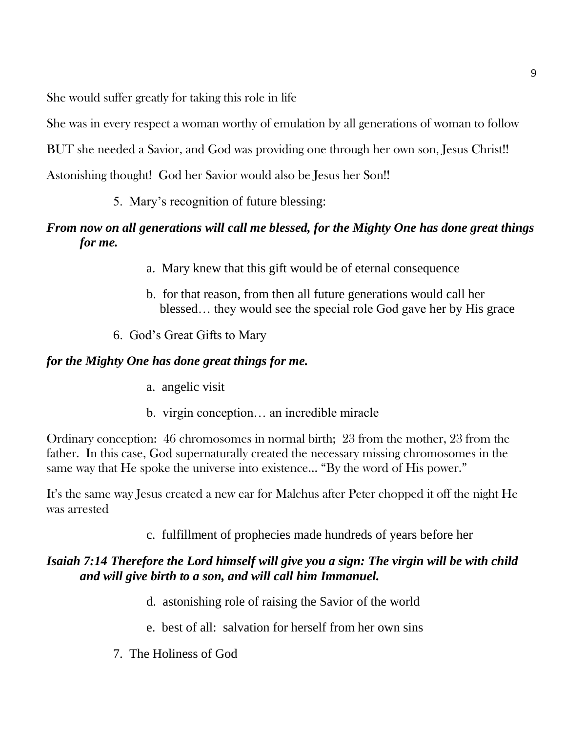She would suffer greatly for taking this role in life

She was in every respect a woman worthy of emulation by all generations of woman to follow

BUT she needed a Savior, and God was providing one through her own son, Jesus Christ!!

Astonishing thought! God her Savior would also be Jesus her Son!!

5. Mary's recognition of future blessing:

# *From now on all generations will call me blessed, for the Mighty One has done great things for me.*

- a. Mary knew that this gift would be of eternal consequence
- b. for that reason, from then all future generations would call her blessed… they would see the special role God gave her by His grace
- 6. God's Great Gifts to Mary

# *for the Mighty One has done great things for me.*

- a. angelic visit
- b. virgin conception… an incredible miracle

Ordinary conception: 46 chromosomes in normal birth; 23 from the mother, 23 from the father. In this case, God supernaturally created the necessary missing chromosomes in the same way that He spoke the universe into existence… "By the word of His power."

It's the same way Jesus created a new ear for Malchus after Peter chopped it off the night He was arrested

c. fulfillment of prophecies made hundreds of years before her

# *Isaiah 7:14 Therefore the Lord himself will give you a sign: The virgin will be with child and will give birth to a son, and will call him Immanuel.*

- d. astonishing role of raising the Savior of the world
- e. best of all: salvation for herself from her own sins
- 7. The Holiness of God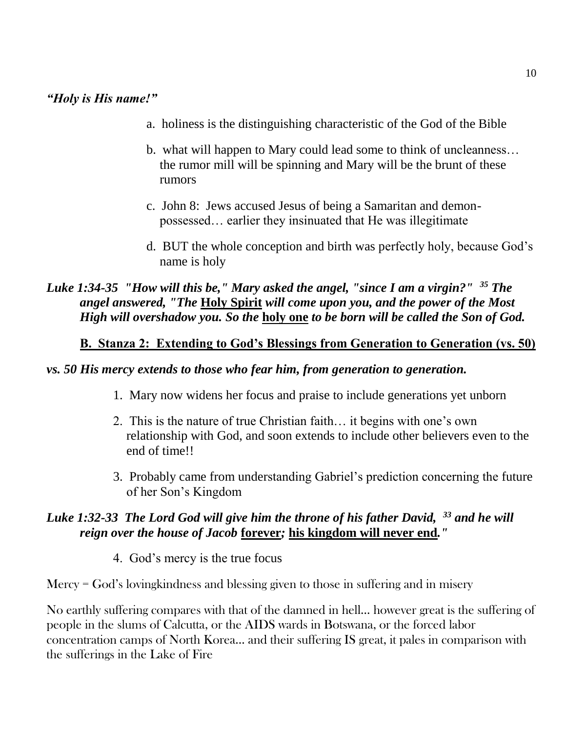### *"Holy is His name!"*

- a. holiness is the distinguishing characteristic of the God of the Bible
- b. what will happen to Mary could lead some to think of uncleanness… the rumor mill will be spinning and Mary will be the brunt of these rumors
- c. John 8: Jews accused Jesus of being a Samaritan and demonpossessed… earlier they insinuated that He was illegitimate
- d. BUT the whole conception and birth was perfectly holy, because God's name is holy

*Luke 1:34-35 "How will this be," Mary asked the angel, "since I am a virgin?" <sup>35</sup> The angel answered, "The* **Holy Spirit** *will come upon you, and the power of the Most High will overshadow you. So the* **holy one** *to be born will be called the Son of God.*

### **B. Stanza 2: Extending to God's Blessings from Generation to Generation (vs. 50)**

#### *vs. 50 His mercy extends to those who fear him, from generation to generation.*

- 1. Mary now widens her focus and praise to include generations yet unborn
- 2. This is the nature of true Christian faith… it begins with one's own relationship with God, and soon extends to include other believers even to the end of time!!
- 3. Probably came from understanding Gabriel's prediction concerning the future of her Son's Kingdom

### *Luke 1:32-33 The Lord God will give him the throne of his father David, <sup>33</sup> and he will reign over the house of Jacob* **forever***;* **his kingdom will never end***."*

4. God's mercy is the true focus

Mercy = God's lovingkindness and blessing given to those in suffering and in misery

No earthly suffering compares with that of the damned in hell… however great is the suffering of people in the slums of Calcutta, or the AIDS wards in Botswana, or the forced labor concentration camps of North Korea… and their suffering IS great, it pales in comparison with the sufferings in the Lake of Fire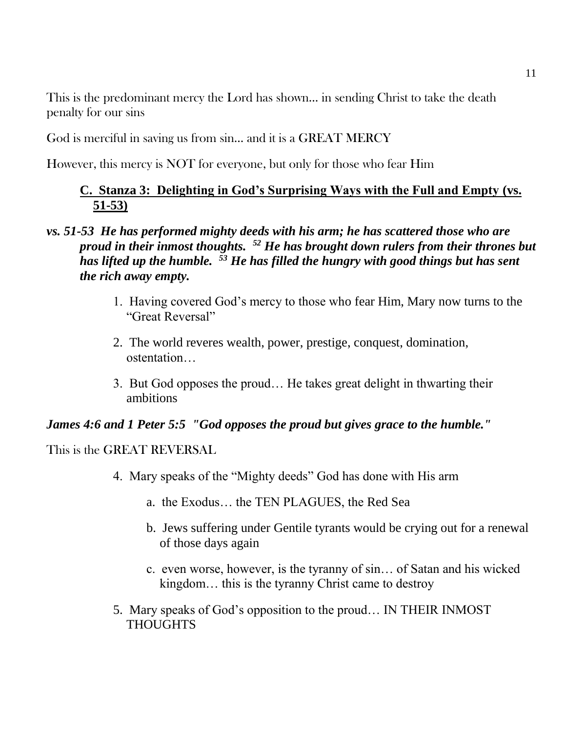This is the predominant mercy the Lord has shown… in sending Christ to take the death penalty for our sins

God is merciful in saving us from sin… and it is a GREAT MERCY

However, this mercy is NOT for everyone, but only for those who fear Him

## **C. Stanza 3: Delighting in God's Surprising Ways with the Full and Empty (vs. 51-53)**

## *vs. 51-53 He has performed mighty deeds with his arm; he has scattered those who are proud in their inmost thoughts. <sup>52</sup> He has brought down rulers from their thrones but has lifted up the humble. <sup>53</sup> He has filled the hungry with good things but has sent the rich away empty.*

- 1. Having covered God's mercy to those who fear Him, Mary now turns to the "Great Reversal"
- 2. The world reveres wealth, power, prestige, conquest, domination, ostentation…
- 3. But God opposes the proud… He takes great delight in thwarting their ambitions

## *James 4:6 and 1 Peter 5:5 "God opposes the proud but gives grace to the humble."*

This is the GREAT REVERSAL

- 4. Mary speaks of the "Mighty deeds" God has done with His arm
	- a. the Exodus… the TEN PLAGUES, the Red Sea
	- b. Jews suffering under Gentile tyrants would be crying out for a renewal of those days again
	- c. even worse, however, is the tyranny of sin… of Satan and his wicked kingdom… this is the tyranny Christ came to destroy
- 5. Mary speaks of God's opposition to the proud… IN THEIR INMOST **THOUGHTS**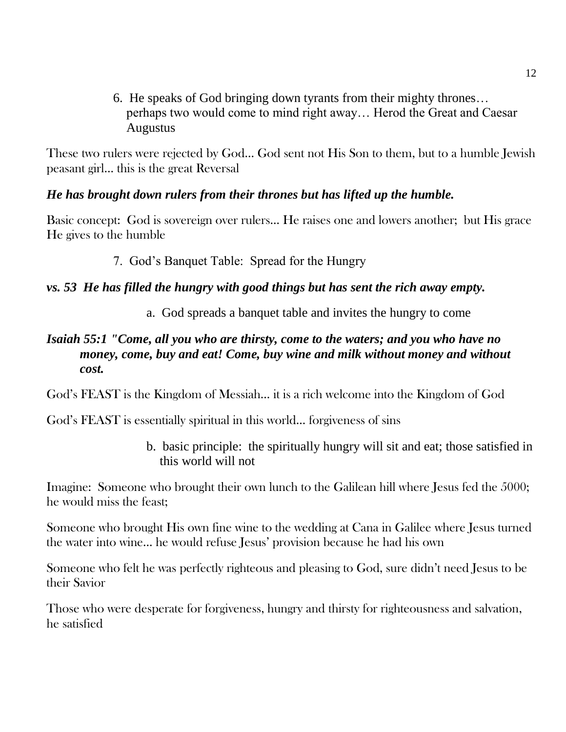6. He speaks of God bringing down tyrants from their mighty thrones… perhaps two would come to mind right away… Herod the Great and Caesar Augustus

These two rulers were rejected by God… God sent not His Son to them, but to a humble Jewish peasant girl… this is the great Reversal

## *He has brought down rulers from their thrones but has lifted up the humble.*

Basic concept: God is sovereign over rulers… He raises one and lowers another; but His grace He gives to the humble

7. God's Banquet Table: Spread for the Hungry

## *vs. 53 He has filled the hungry with good things but has sent the rich away empty.*

a. God spreads a banquet table and invites the hungry to come

## *Isaiah 55:1 "Come, all you who are thirsty, come to the waters; and you who have no money, come, buy and eat! Come, buy wine and milk without money and without cost.*

God's FEAST is the Kingdom of Messiah… it is a rich welcome into the Kingdom of God

God's FEAST is essentially spiritual in this world… forgiveness of sins

b. basic principle: the spiritually hungry will sit and eat; those satisfied in this world will not

Imagine: Someone who brought their own lunch to the Galilean hill where Jesus fed the 5000; he would miss the feast;

Someone who brought His own fine wine to the wedding at Cana in Galilee where Jesus turned the water into wine… he would refuse Jesus' provision because he had his own

Someone who felt he was perfectly righteous and pleasing to God, sure didn't need Jesus to be their Savior

Those who were desperate for forgiveness, hungry and thirsty for righteousness and salvation, he satisfied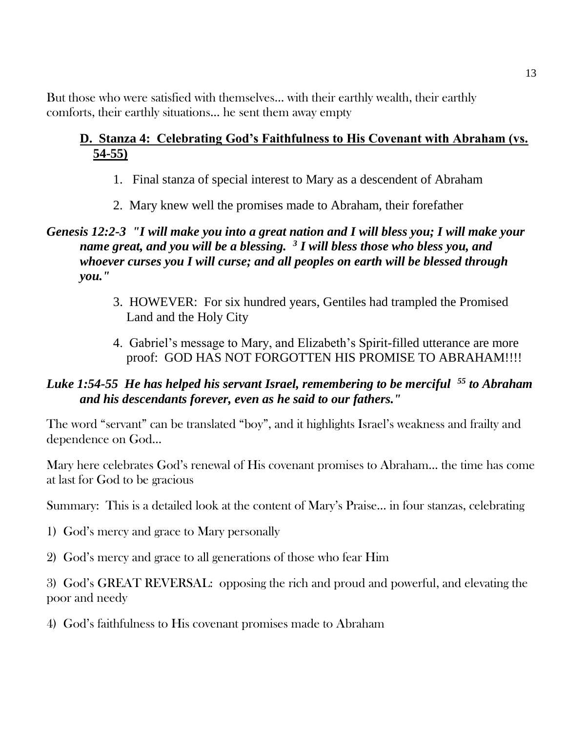But those who were satisfied with themselves… with their earthly wealth, their earthly comforts, their earthly situations… he sent them away empty

# **D. Stanza 4: Celebrating God's Faithfulness to His Covenant with Abraham (vs. 54-55)**

- 1. Final stanza of special interest to Mary as a descendent of Abraham
- 2. Mary knew well the promises made to Abraham, their forefather

## *Genesis 12:2-3 "I will make you into a great nation and I will bless you; I will make your name great, and you will be a blessing. <sup>3</sup> I will bless those who bless you, and whoever curses you I will curse; and all peoples on earth will be blessed through you."*

- 3. HOWEVER: For six hundred years, Gentiles had trampled the Promised Land and the Holy City
- 4. Gabriel's message to Mary, and Elizabeth's Spirit-filled utterance are more proof: GOD HAS NOT FORGOTTEN HIS PROMISE TO ABRAHAM!!!!

## *Luke 1:54-55 He has helped his servant Israel, remembering to be merciful <sup>55</sup> to Abraham and his descendants forever, even as he said to our fathers."*

The word "servant" can be translated "boy", and it highlights Israel's weakness and frailty and dependence on God…

Mary here celebrates God's renewal of His covenant promises to Abraham… the time has come at last for God to be gracious

Summary: This is a detailed look at the content of Mary's Praise… in four stanzas, celebrating

- 1) God's mercy and grace to Mary personally
- 2) God's mercy and grace to all generations of those who fear Him

3) God's GREAT REVERSAL: opposing the rich and proud and powerful, and elevating the poor and needy

4) God's faithfulness to His covenant promises made to Abraham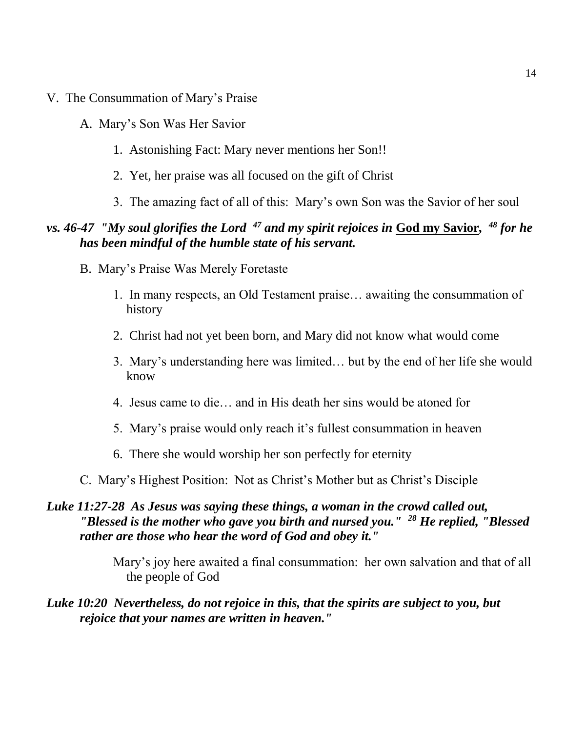- V. The Consummation of Mary's Praise
	- A. Mary's Son Was Her Savior
		- 1. Astonishing Fact: Mary never mentions her Son!!
		- 2. Yet, her praise was all focused on the gift of Christ
		- 3. The amazing fact of all of this: Mary's own Son was the Savior of her soul

## *vs. 46-47 "My soul glorifies the Lord <sup>47</sup> and my spirit rejoices in* **God my Savior***, <sup>48</sup> for he has been mindful of the humble state of his servant.*

- B. Mary's Praise Was Merely Foretaste
	- 1. In many respects, an Old Testament praise… awaiting the consummation of history
	- 2. Christ had not yet been born, and Mary did not know what would come
	- 3. Mary's understanding here was limited… but by the end of her life she would know
	- 4. Jesus came to die… and in His death her sins would be atoned for
	- 5. Mary's praise would only reach it's fullest consummation in heaven
	- 6. There she would worship her son perfectly for eternity
- C. Mary's Highest Position: Not as Christ's Mother but as Christ's Disciple

### *Luke 11:27-28 As Jesus was saying these things, a woman in the crowd called out, "Blessed is the mother who gave you birth and nursed you." <sup>28</sup> He replied, "Blessed rather are those who hear the word of God and obey it."*

Mary's joy here awaited a final consummation: her own salvation and that of all the people of God

#### *Luke 10:20 Nevertheless, do not rejoice in this, that the spirits are subject to you, but rejoice that your names are written in heaven."*